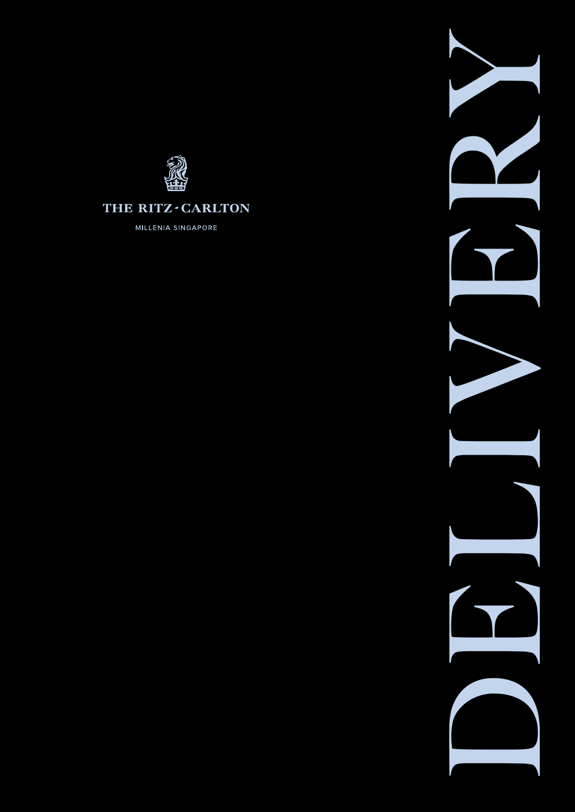

#### THE RITZ-CARLTON

MILLENIA SINGAPORE

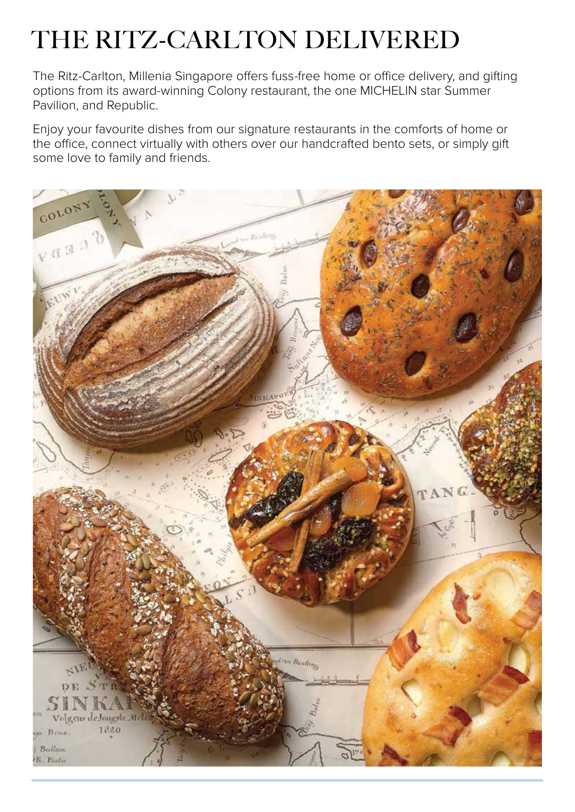# THE RITZ-CARLTON DELIVERED

The Ritz-Carlton, Millenia Singapore offers fuss-free home or office delivery, and gifting options from its award-winning Colony restaurant, the one MICHELIN star Summer Pavilion, and Republic.

Enjoy your favourite dishes from our signature restaurants in the comforts of home or the office, connect virtually with others over our handcrafted bento sets, or simply gift some love to family and friends.

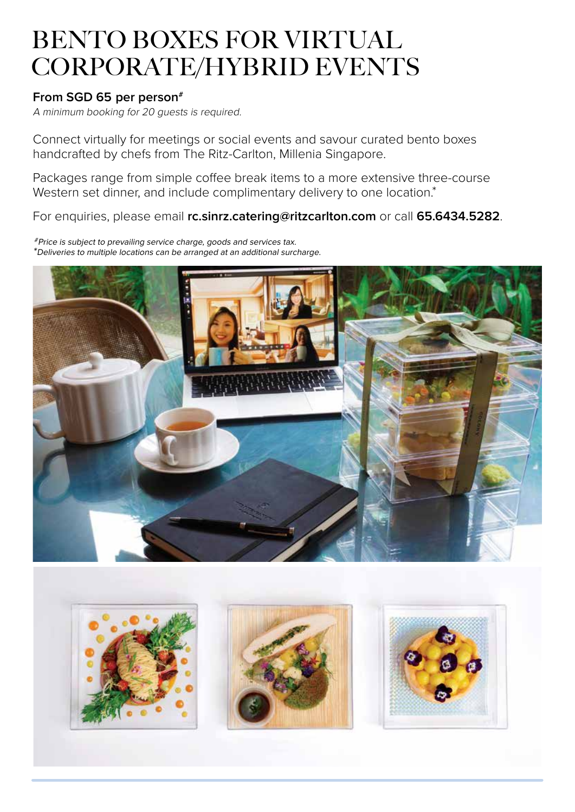### BENTO BOXES FOR VIRTUAL CORPORATE/HYBRID EVENTS

#### **From SGD 65 per person#**

A minimum booking for 20 guests is required.

Connect virtually for meetings or social events and savour curated bento boxes handcrafted by chefs from The Ritz-Carlton, Millenia Singapore.

Packages range from simple coffee break items to a more extensive three-course Western set dinner, and include complimentary delivery to one location.\*

For enquiries, please email **[rc.sinrz.catering@ritzcarlton.com](mailto:rc.sinrz.catering@ritzcarlton.com)** or call **65.6434.5282**.

#Price is subject to prevailing service charge, goods and services tax. \*Deliveries to multiple locations can be arranged at an additional surcharge.



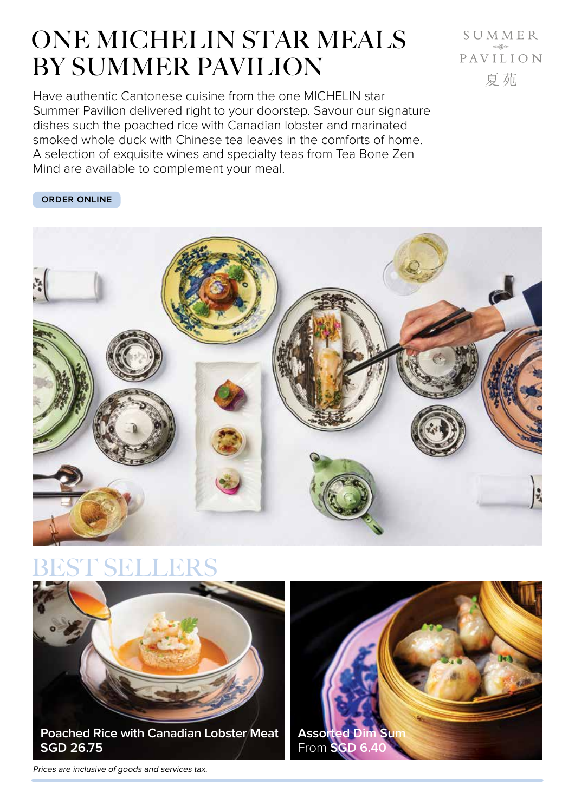### ONE MICHELIN STAR MEALS BY SUMMER PAVILION

SUMMER PAVILION 夏茄

Have authentic Cantonese cuisine from the one MICHELIN star Summer Pavilion delivered right to your doorstep. Savour our signature dishes such the poached rice with Canadian lobster and marinated smoked whole duck with Chinese tea leaves in the comforts of home. A selection of exquisite wines and specialty teas from Tea Bone Zen Mind are available to complement your meal.

#### **[ORDER ONLINE](https://summerpavilion.oddle.me/en_SG/)**



### EST SELLERS



Prices are inclusive of goods and services tax.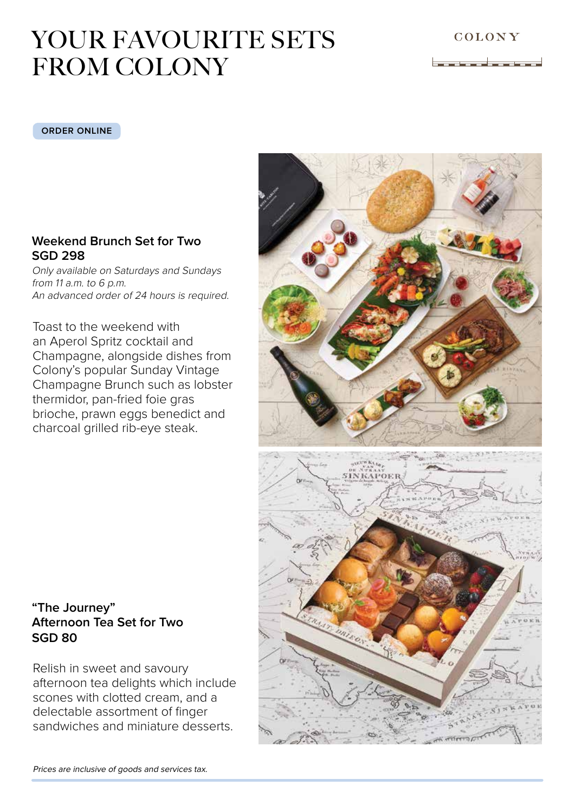<u> I<del>. ang mga katalong nasa</del>-</u>

## YOUR FAVOURITE SETS FROM COLONY

#### **[ORDER ONLINE](https://colonybakery.oddle.me/en_SG/)**

#### **Weekend Brunch Set for Two SGD 298**

Only available on Saturdays and Sundays from 11 a.m. to 6 p.m. An advanced order of 24 hours is required.

Toast to the weekend with an Aperol Spritz cocktail and Champagne, alongside dishes from Colony's popular Sunday Vintage Champagne Brunch such as lobster thermidor, pan-fried foie gras brioche, prawn eggs benedict and charcoal grilled rib-eye steak.

#### **"The Journey" Afternoon Tea Set for Two SGD 80**

Relish in sweet and savoury afternoon tea delights which include scones with clotted cream, and a delectable assortment of finger sandwiches and miniature desserts.

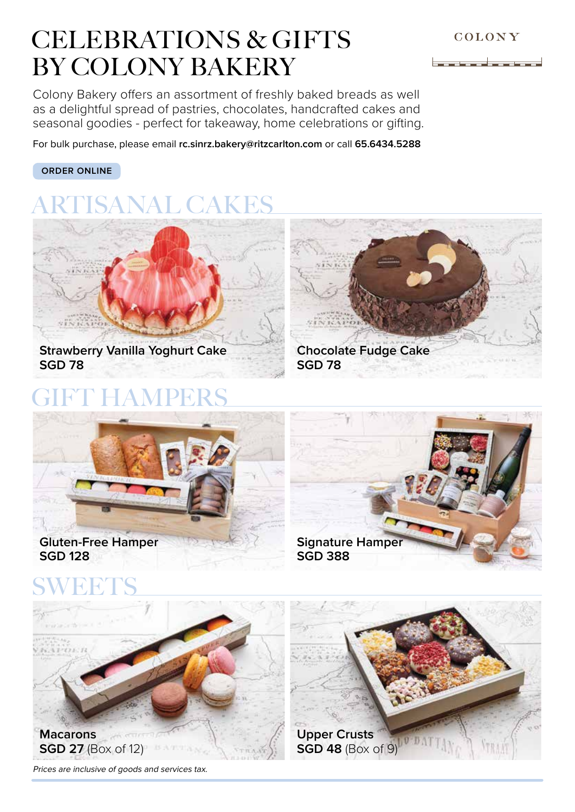#### COLONY

## CELEBRATIONS & GIFTS BY COLONY BAKERY

Colony Bakery offers an assortment of freshly baked breads as well as a delightful spread of pastries, chocolates, handcrafted cakes and seasonal goodies - perfect for takeaway, home celebrations or gifting.

For bulk purchase, please email **[rc.sinrz.bakery@ritzcarlton.com](mailto:rc.sinrz.bakery@ritzcarlton.com)** or call **65.6434.5288** 

#### **[ORDER ONLINE](https://colonybakery.oddle.me/en_SG/)**

# **RTISANAL CAKES**



## A M PI



## **SGD 78**





# **SWEETS**



Prices are inclusive of goods and services tax.



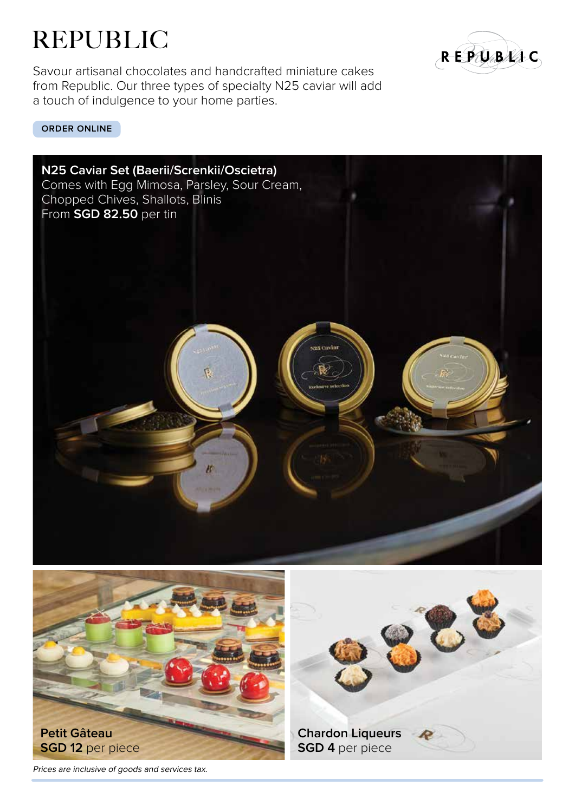# REPUBLIC

Savour artisanal chocolates and handcrafted miniature cakes from Republic. Our three types of specialty N25 caviar will add a touch of indulgence to your home parties.



**[ORDER ONLINE](https://colonybakery.oddle.me/en_SG/)** 







Prices are inclusive of goods and services tax.



**Chardon Liqueurs SGD 4** per piece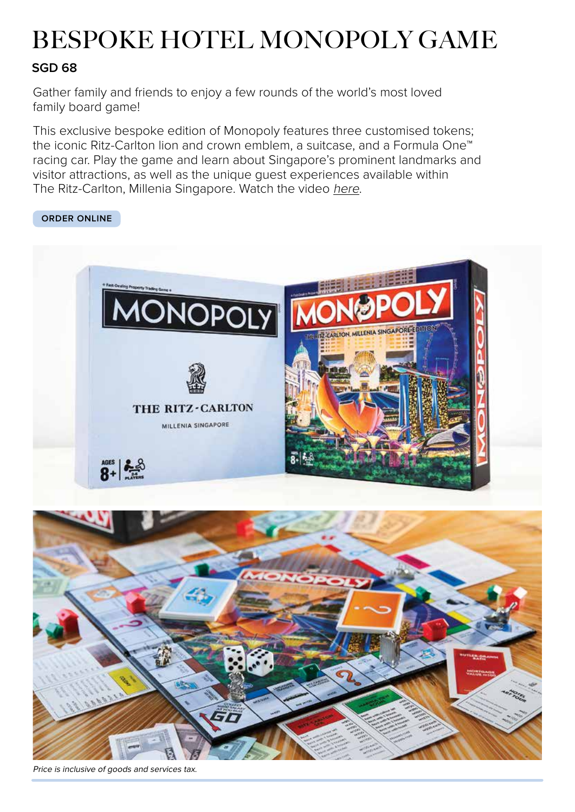# BESPOKE HOTEL MONOPOLY GAME

#### **SGD 68**

Gather family and friends to enjoy a few rounds of the world's most loved family board game!

This exclusive bespoke edition of Monopoly features three customised tokens; the iconic Ritz-Carlton lion and crown emblem, a suitcase, and a Formula One™ racing car. Play the game and learn about Singapore's prominent landmarks and visitor attractions, as well as the unique guest experiences available within The Ritz-Carlton, Millenia Singapore. Watch the video [here](https://www.youtube.com/watch?v=6-SkRXTXjrQ).

#### **[ORDER ONLINE](https://colonybakery.oddle.me/en_SG/)**





Price is inclusive of goods and services tax.